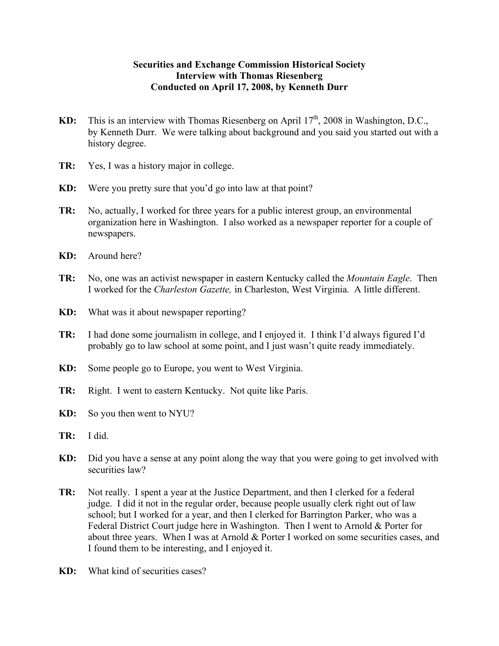## **Securities and Exchange Commission Historical Society Interview with Thomas Riesenberg Conducted on April 17, 2008, by Kenneth Durr**

- **KD:** This is an interview with Thomas Riesenberg on April 17<sup>th</sup>, 2008 in Washington, D.C., by Kenneth Durr. We were talking about background and you said you started out with a history degree.
- **TR:** Yes, I was a history major in college.
- **KD:** Were you pretty sure that you'd go into law at that point?
- **TR:** No, actually, I worked for three years for a public interest group, an environmental organization here in Washington. I also worked as a newspaper reporter for a couple of newspapers.
- **KD:** Around here?
- **TR:** No, one was an activist newspaper in eastern Kentucky called the *Mountain Eagle*. Then I worked for the *Charleston Gazette,* in Charleston, West Virginia. A little different.
- **KD:** What was it about newspaper reporting?
- **TR:** I had done some journalism in college, and I enjoyed it. I think I'd always figured I'd probably go to law school at some point, and I just wasn't quite ready immediately.
- **KD:** Some people go to Europe, you went to West Virginia.
- **TR:** Right. I went to eastern Kentucky. Not quite like Paris.
- **KD:** So you then went to NYU?
- **TR:** I did.
- **KD:** Did you have a sense at any point along the way that you were going to get involved with securities law?
- **TR:** Not really. I spent a year at the Justice Department, and then I clerked for a federal judge. I did it not in the regular order, because people usually clerk right out of law school; but I worked for a year, and then I clerked for Barrington Parker, who was a Federal District Court judge here in Washington. Then I went to Arnold & Porter for about three years. When I was at Arnold & Porter I worked on some securities cases, and I found them to be interesting, and I enjoyed it.
- **KD:** What kind of securities cases?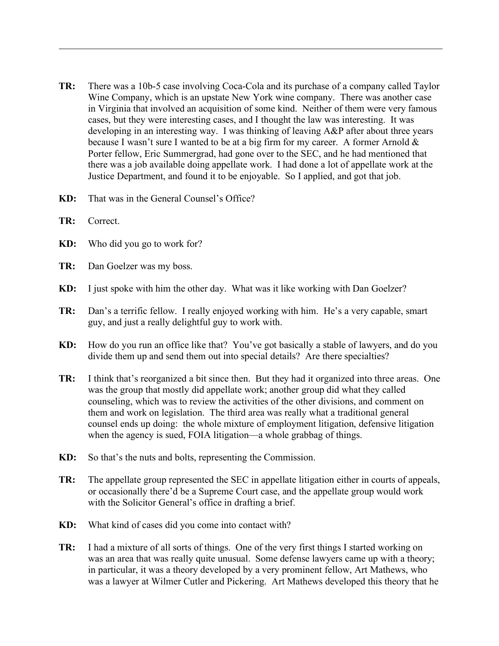- **TR:** There was a 10b-5 case involving Coca-Cola and its purchase of a company called Taylor Wine Company, which is an upstate New York wine company. There was another case in Virginia that involved an acquisition of some kind. Neither of them were very famous cases, but they were interesting cases, and I thought the law was interesting. It was developing in an interesting way. I was thinking of leaving A&P after about three years because I wasn't sure I wanted to be at a big firm for my career. A former Arnold  $\&$ Porter fellow, Eric Summergrad, had gone over to the SEC, and he had mentioned that there was a job available doing appellate work. I had done a lot of appellate work at the Justice Department, and found it to be enjoyable. So I applied, and got that job.
- **KD:** That was in the General Counsel's Office?
- **TR:** Correct.
- **KD:** Who did you go to work for?
- **TR:** Dan Goelzer was my boss.
- **KD:** I just spoke with him the other day. What was it like working with Dan Goelzer?
- **TR:** Dan's a terrific fellow. I really enjoyed working with him. He's a very capable, smart guy, and just a really delightful guy to work with.
- **KD:** How do you run an office like that? You've got basically a stable of lawyers, and do you divide them up and send them out into special details? Are there specialties?
- **TR:** I think that's reorganized a bit since then. But they had it organized into three areas. One was the group that mostly did appellate work; another group did what they called counseling, which was to review the activities of the other divisions, and comment on them and work on legislation. The third area was really what a traditional general counsel ends up doing: the whole mixture of employment litigation, defensive litigation when the agency is sued, FOIA litigation—a whole grabbag of things.
- **KD:** So that's the nuts and bolts, representing the Commission.
- **TR:** The appellate group represented the SEC in appellate litigation either in courts of appeals, or occasionally there'd be a Supreme Court case, and the appellate group would work with the Solicitor General's office in drafting a brief.
- **KD:** What kind of cases did you come into contact with?
- **TR:** I had a mixture of all sorts of things. One of the very first things I started working on was an area that was really quite unusual. Some defense lawyers came up with a theory; in particular, it was a theory developed by a very prominent fellow, Art Mathews, who was a lawyer at Wilmer Cutler and Pickering. Art Mathews developed this theory that he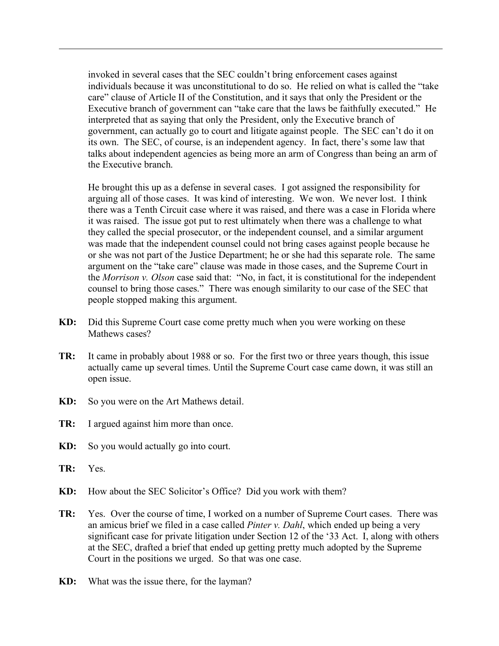invoked in several cases that the SEC couldn't bring enforcement cases against individuals because it was unconstitutional to do so. He relied on what is called the "take care" clause of Article II of the Constitution, and it says that only the President or the Executive branch of government can "take care that the laws be faithfully executed." He interpreted that as saying that only the President, only the Executive branch of government, can actually go to court and litigate against people. The SEC can't do it on its own. The SEC, of course, is an independent agency. In fact, there's some law that talks about independent agencies as being more an arm of Congress than being an arm of the Executive branch.

He brought this up as a defense in several cases. I got assigned the responsibility for arguing all of those cases. It was kind of interesting. We won. We never lost. I think there was a Tenth Circuit case where it was raised, and there was a case in Florida where it was raised. The issue got put to rest ultimately when there was a challenge to what they called the special prosecutor, or the independent counsel, and a similar argument was made that the independent counsel could not bring cases against people because he or she was not part of the Justice Department; he or she had this separate role. The same argument on the "take care" clause was made in those cases, and the Supreme Court in the *Morrison v. Olson* case said that: "No, in fact, it is constitutional for the independent counsel to bring those cases." There was enough similarity to our case of the SEC that people stopped making this argument.

- **KD:** Did this Supreme Court case come pretty much when you were working on these Mathews cases?
- **TR:** It came in probably about 1988 or so. For the first two or three years though, this issue actually came up several times. Until the Supreme Court case came down, it was still an open issue.
- **KD:** So you were on the Art Mathews detail.
- **TR:** I argued against him more than once.
- **KD:** So you would actually go into court.
- **TR:** Yes.
- **KD:** How about the SEC Solicitor's Office? Did you work with them?
- **TR:** Yes. Over the course of time, I worked on a number of Supreme Court cases. There was an amicus brief we filed in a case called *Pinter v. Dahl*, which ended up being a very significant case for private litigation under Section 12 of the '33 Act. I, along with others at the SEC, drafted a brief that ended up getting pretty much adopted by the Supreme Court in the positions we urged. So that was one case.
- **KD:** What was the issue there, for the layman?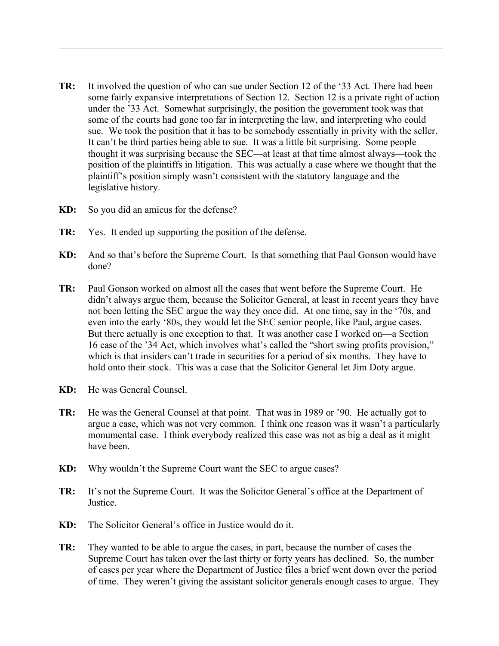- **TR:** It involved the question of who can sue under Section 12 of the '33 Act. There had been some fairly expansive interpretations of Section 12. Section 12 is a private right of action under the '33 Act. Somewhat surprisingly, the position the government took was that some of the courts had gone too far in interpreting the law, and interpreting who could sue. We took the position that it has to be somebody essentially in privity with the seller. It can't be third parties being able to sue. It was a little bit surprising. Some people thought it was surprising because the SEC—at least at that time almost always—took the position of the plaintiffs in litigation. This was actually a case where we thought that the plaintiff's position simply wasn't consistent with the statutory language and the legislative history.
- **KD:** So you did an amicus for the defense?
- **TR:** Yes. It ended up supporting the position of the defense.
- **KD:** And so that's before the Supreme Court. Is that something that Paul Gonson would have done?
- **TR:** Paul Gonson worked on almost all the cases that went before the Supreme Court. He didn't always argue them, because the Solicitor General, at least in recent years they have not been letting the SEC argue the way they once did. At one time, say in the '70s, and even into the early '80s, they would let the SEC senior people, like Paul, argue cases. But there actually is one exception to that. It was another case I worked on—a Section 16 case of the '34 Act, which involves what's called the "short swing profits provision," which is that insiders can't trade in securities for a period of six months. They have to hold onto their stock. This was a case that the Solicitor General let Jim Doty argue.
- **KD:** He was General Counsel.
- **TR:** He was the General Counsel at that point. That was in 1989 or '90. He actually got to argue a case, which was not very common. I think one reason was it wasn't a particularly monumental case. I think everybody realized this case was not as big a deal as it might have been.
- **KD:** Why wouldn't the Supreme Court want the SEC to argue cases?
- **TR:** It's not the Supreme Court. It was the Solicitor General's office at the Department of Justice.
- **KD:** The Solicitor General's office in Justice would do it.
- **TR:** They wanted to be able to argue the cases, in part, because the number of cases the Supreme Court has taken over the last thirty or forty years has declined. So, the number of cases per year where the Department of Justice files a brief went down over the period of time. They weren't giving the assistant solicitor generals enough cases to argue. They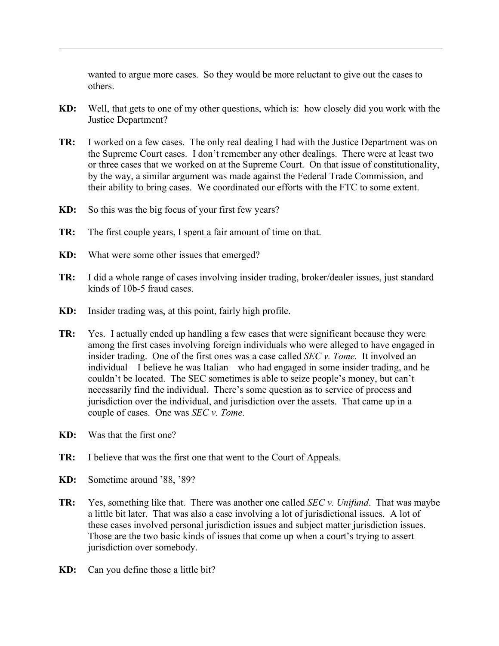wanted to argue more cases. So they would be more reluctant to give out the cases to others.

- **KD:** Well, that gets to one of my other questions, which is: how closely did you work with the Justice Department?
- **TR:** I worked on a few cases. The only real dealing I had with the Justice Department was on the Supreme Court cases. I don't remember any other dealings. There were at least two or three cases that we worked on at the Supreme Court. On that issue of constitutionality, by the way, a similar argument was made against the Federal Trade Commission, and their ability to bring cases. We coordinated our efforts with the FTC to some extent.
- **KD:** So this was the big focus of your first few years?
- **TR:** The first couple years, I spent a fair amount of time on that.
- **KD:** What were some other issues that emerged?
- **TR:** I did a whole range of cases involving insider trading, broker/dealer issues, just standard kinds of 10b-5 fraud cases.
- **KD:** Insider trading was, at this point, fairly high profile.
- **TR:** Yes. I actually ended up handling a few cases that were significant because they were among the first cases involving foreign individuals who were alleged to have engaged in insider trading. One of the first ones was a case called *SEC v. Tome.* It involved an individual—I believe he was Italian—who had engaged in some insider trading, and he couldn't be located. The SEC sometimes is able to seize people's money, but can't necessarily find the individual. There's some question as to service of process and jurisdiction over the individual, and jurisdiction over the assets. That came up in a couple of cases. One was *SEC v. Tome*.
- **KD:** Was that the first one?
- **TR:** I believe that was the first one that went to the Court of Appeals.
- **KD:** Sometime around '88, '89?
- **TR:** Yes, something like that. There was another one called *SEC v. Unifund*. That was maybe a little bit later. That was also a case involving a lot of jurisdictional issues. A lot of these cases involved personal jurisdiction issues and subject matter jurisdiction issues. Those are the two basic kinds of issues that come up when a court's trying to assert jurisdiction over somebody.
- **KD:** Can you define those a little bit?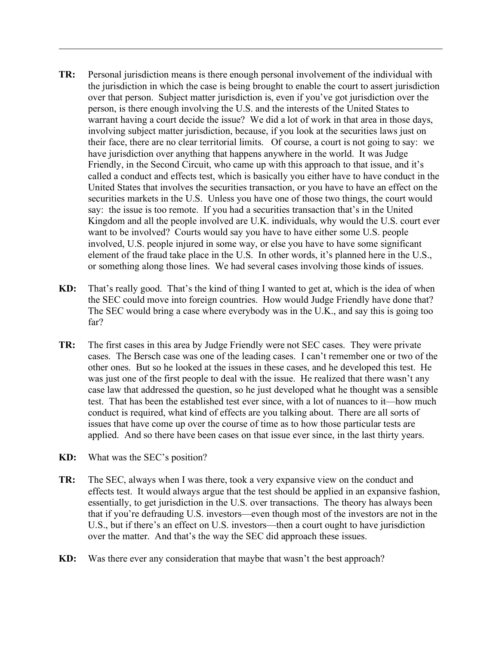- **TR:** Personal jurisdiction means is there enough personal involvement of the individual with the jurisdiction in which the case is being brought to enable the court to assert jurisdiction over that person. Subject matter jurisdiction is, even if you've got jurisdiction over the person, is there enough involving the U.S. and the interests of the United States to warrant having a court decide the issue? We did a lot of work in that area in those days, involving subject matter jurisdiction, because, if you look at the securities laws just on their face, there are no clear territorial limits. Of course, a court is not going to say: we have jurisdiction over anything that happens anywhere in the world. It was Judge Friendly, in the Second Circuit, who came up with this approach to that issue, and it's called a conduct and effects test, which is basically you either have to have conduct in the United States that involves the securities transaction, or you have to have an effect on the securities markets in the U.S. Unless you have one of those two things, the court would say: the issue is too remote. If you had a securities transaction that's in the United Kingdom and all the people involved are U.K. individuals, why would the U.S. court ever want to be involved? Courts would say you have to have either some U.S. people involved, U.S. people injured in some way, or else you have to have some significant element of the fraud take place in the U.S. In other words, it's planned here in the U.S., or something along those lines. We had several cases involving those kinds of issues.
- **KD:** That's really good. That's the kind of thing I wanted to get at, which is the idea of when the SEC could move into foreign countries. How would Judge Friendly have done that? The SEC would bring a case where everybody was in the U.K., and say this is going too far?
- **TR:** The first cases in this area by Judge Friendly were not SEC cases. They were private cases. The Bersch case was one of the leading cases. I can't remember one or two of the other ones. But so he looked at the issues in these cases, and he developed this test. He was just one of the first people to deal with the issue. He realized that there wasn't any case law that addressed the question, so he just developed what he thought was a sensible test. That has been the established test ever since, with a lot of nuances to it—how much conduct is required, what kind of effects are you talking about. There are all sorts of issues that have come up over the course of time as to how those particular tests are applied. And so there have been cases on that issue ever since, in the last thirty years.
- **KD:** What was the SEC's position?
- **TR:** The SEC, always when I was there, took a very expansive view on the conduct and effects test. It would always argue that the test should be applied in an expansive fashion, essentially, to get jurisdiction in the U.S. over transactions. The theory has always been that if you're defrauding U.S. investors—even though most of the investors are not in the U.S., but if there's an effect on U.S. investors—then a court ought to have jurisdiction over the matter. And that's the way the SEC did approach these issues.
- **KD:** Was there ever any consideration that maybe that wasn't the best approach?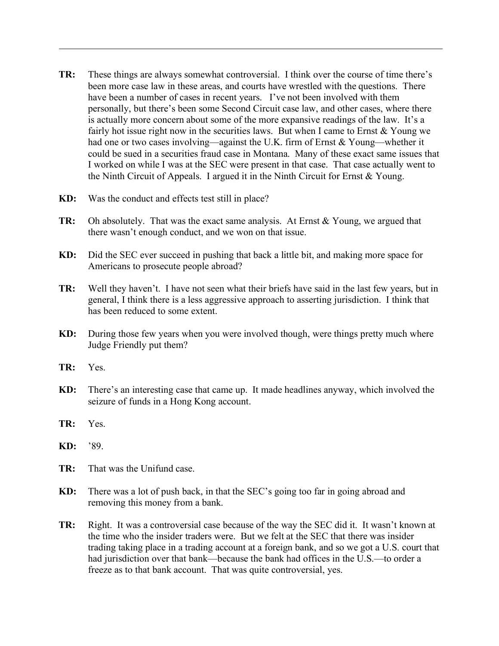- **TR:** These things are always somewhat controversial. I think over the course of time there's been more case law in these areas, and courts have wrestled with the questions. There have been a number of cases in recent years. I've not been involved with them personally, but there's been some Second Circuit case law, and other cases, where there is actually more concern about some of the more expansive readings of the law. It's a fairly hot issue right now in the securities laws. But when I came to Ernst  $&$  Young we had one or two cases involving—against the U.K. firm of Ernst & Young—whether it could be sued in a securities fraud case in Montana. Many of these exact same issues that I worked on while I was at the SEC were present in that case. That case actually went to the Ninth Circuit of Appeals. I argued it in the Ninth Circuit for Ernst & Young.
- **KD:** Was the conduct and effects test still in place?
- **TR:** Oh absolutely. That was the exact same analysis. At Ernst & Young, we argued that there wasn't enough conduct, and we won on that issue.
- **KD:** Did the SEC ever succeed in pushing that back a little bit, and making more space for Americans to prosecute people abroad?
- **TR:** Well they haven't. I have not seen what their briefs have said in the last few years, but in general, I think there is a less aggressive approach to asserting jurisdiction. I think that has been reduced to some extent.
- **KD:** During those few years when you were involved though, were things pretty much where Judge Friendly put them?
- **TR:** Yes.
- **KD:** There's an interesting case that came up. It made headlines anyway, which involved the seizure of funds in a Hong Kong account.
- **TR:** Yes.
- **KD:** '89.
- **TR:** That was the Unifund case.
- **KD:** There was a lot of push back, in that the SEC's going too far in going abroad and removing this money from a bank.
- **TR:** Right. It was a controversial case because of the way the SEC did it. It wasn't known at the time who the insider traders were. But we felt at the SEC that there was insider trading taking place in a trading account at a foreign bank, and so we got a U.S. court that had jurisdiction over that bank—because the bank had offices in the U.S.—to order a freeze as to that bank account. That was quite controversial, yes.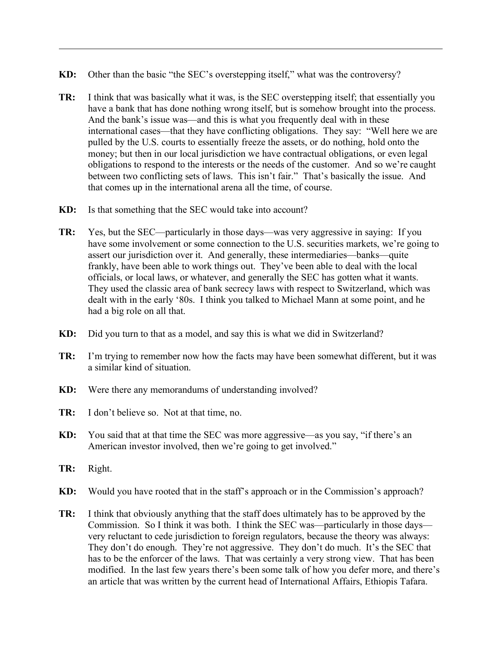- **KD:** Other than the basic "the SEC's overstepping itself," what was the controversy?
- **TR:** I think that was basically what it was, is the SEC overstepping itself; that essentially you have a bank that has done nothing wrong itself, but is somehow brought into the process. And the bank's issue was—and this is what you frequently deal with in these international cases—that they have conflicting obligations. They say: "Well here we are pulled by the U.S. courts to essentially freeze the assets, or do nothing, hold onto the money; but then in our local jurisdiction we have contractual obligations, or even legal obligations to respond to the interests or the needs of the customer. And so we're caught between two conflicting sets of laws. This isn't fair." That's basically the issue. And that comes up in the international arena all the time, of course.
- **KD:** Is that something that the SEC would take into account?
- **TR:** Yes, but the SEC—particularly in those days—was very aggressive in saying: If you have some involvement or some connection to the U.S. securities markets, we're going to assert our jurisdiction over it. And generally, these intermediaries—banks—quite frankly, have been able to work things out. They've been able to deal with the local officials, or local laws, or whatever, and generally the SEC has gotten what it wants. They used the classic area of bank secrecy laws with respect to Switzerland, which was dealt with in the early '80s. I think you talked to Michael Mann at some point, and he had a big role on all that.
- **KD:** Did you turn to that as a model, and say this is what we did in Switzerland?
- **TR:** I'm trying to remember now how the facts may have been somewhat different, but it was a similar kind of situation.
- **KD:** Were there any memorandums of understanding involved?
- **TR:** I don't believe so. Not at that time, no.
- **KD:** You said that at that time the SEC was more aggressive—as you say, "if there's an American investor involved, then we're going to get involved."
- **TR:** Right.
- **KD:** Would you have rooted that in the staff's approach or in the Commission's approach?
- **TR:** I think that obviously anything that the staff does ultimately has to be approved by the Commission. So I think it was both. I think the SEC was—particularly in those days very reluctant to cede jurisdiction to foreign regulators, because the theory was always: They don't do enough. They're not aggressive. They don't do much. It's the SEC that has to be the enforcer of the laws. That was certainly a very strong view. That has been modified. In the last few years there's been some talk of how you defer more, and there's an article that was written by the current head of International Affairs, Ethiopis Tafara.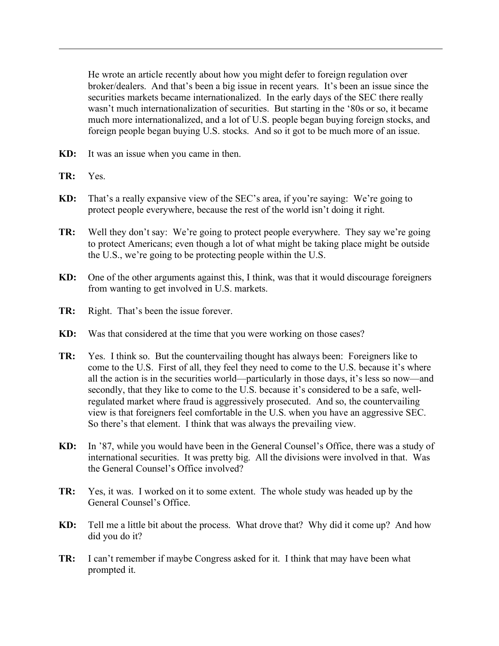He wrote an article recently about how you might defer to foreign regulation over broker/dealers. And that's been a big issue in recent years. It's been an issue since the securities markets became internationalized. In the early days of the SEC there really wasn't much internationalization of securities. But starting in the '80s or so, it became much more internationalized, and a lot of U.S. people began buying foreign stocks, and foreign people began buying U.S. stocks. And so it got to be much more of an issue.

- **KD:** It was an issue when you came in then.
- **TR:** Yes.
- **KD:** That's a really expansive view of the SEC's area, if you're saying: We're going to protect people everywhere, because the rest of the world isn't doing it right.
- **TR:** Well they don't say: We're going to protect people everywhere. They say we're going to protect Americans; even though a lot of what might be taking place might be outside the U.S., we're going to be protecting people within the U.S.
- **KD:** One of the other arguments against this, I think, was that it would discourage foreigners from wanting to get involved in U.S. markets.
- **TR:** Right. That's been the issue forever.
- **KD:** Was that considered at the time that you were working on those cases?
- **TR:** Yes. I think so. But the countervailing thought has always been: Foreigners like to come to the U.S. First of all, they feel they need to come to the U.S. because it's where all the action is in the securities world—particularly in those days, it's less so now—and secondly, that they like to come to the U.S. because it's considered to be a safe, wellregulated market where fraud is aggressively prosecuted. And so, the countervailing view is that foreigners feel comfortable in the U.S. when you have an aggressive SEC. So there's that element. I think that was always the prevailing view.
- **KD:** In '87, while you would have been in the General Counsel's Office, there was a study of international securities. It was pretty big. All the divisions were involved in that. Was the General Counsel's Office involved?
- **TR:** Yes, it was. I worked on it to some extent. The whole study was headed up by the General Counsel's Office.
- **KD:** Tell me a little bit about the process. What drove that? Why did it come up? And how did you do it?
- **TR:** I can't remember if maybe Congress asked for it. I think that may have been what prompted it.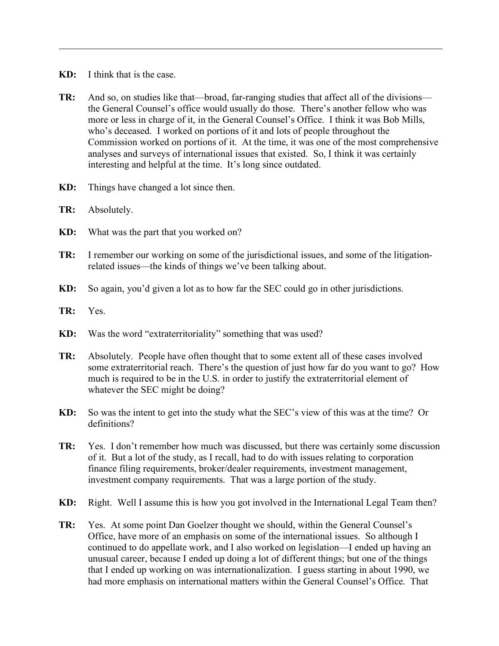- **KD:** I think that is the case.
- **TR:** And so, on studies like that—broad, far-ranging studies that affect all of the divisions the General Counsel's office would usually do those. There's another fellow who was more or less in charge of it, in the General Counsel's Office. I think it was Bob Mills, who's deceased. I worked on portions of it and lots of people throughout the Commission worked on portions of it. At the time, it was one of the most comprehensive analyses and surveys of international issues that existed. So, I think it was certainly interesting and helpful at the time. It's long since outdated.
- **KD:** Things have changed a lot since then.
- **TR:** Absolutely.
- **KD:** What was the part that you worked on?
- **TR:** I remember our working on some of the jurisdictional issues, and some of the litigationrelated issues—the kinds of things we've been talking about.
- **KD:** So again, you'd given a lot as to how far the SEC could go in other jurisdictions.
- **TR:** Yes.
- **KD:** Was the word "extraterritoriality" something that was used?
- **TR:** Absolutely. People have often thought that to some extent all of these cases involved some extraterritorial reach. There's the question of just how far do you want to go? How much is required to be in the U.S. in order to justify the extraterritorial element of whatever the SEC might be doing?
- **KD:** So was the intent to get into the study what the SEC's view of this was at the time? Or definitions?
- **TR:** Yes. I don't remember how much was discussed, but there was certainly some discussion of it. But a lot of the study, as I recall, had to do with issues relating to corporation finance filing requirements, broker/dealer requirements, investment management, investment company requirements. That was a large portion of the study.
- **KD:** Right. Well I assume this is how you got involved in the International Legal Team then?
- **TR:** Yes. At some point Dan Goelzer thought we should, within the General Counsel's Office, have more of an emphasis on some of the international issues. So although I continued to do appellate work, and I also worked on legislation—I ended up having an unusual career, because I ended up doing a lot of different things; but one of the things that I ended up working on was internationalization. I guess starting in about 1990, we had more emphasis on international matters within the General Counsel's Office. That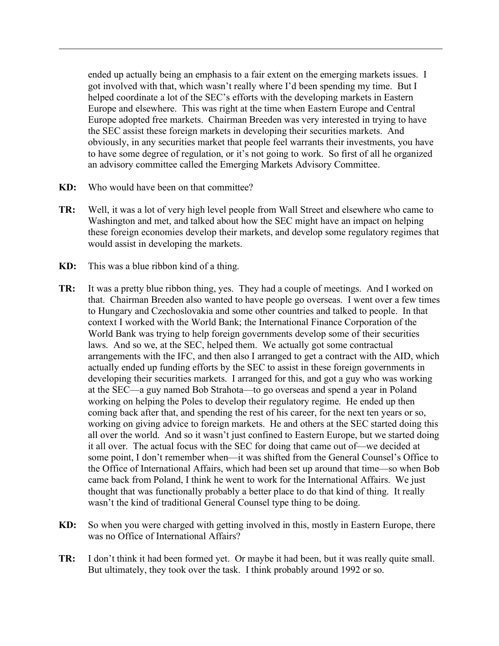ended up actually being an emphasis to a fair extent on the emerging markets issues. I got involved with that, which wasn't really where I'd been spending my time. But I helped coordinate a lot of the SEC's efforts with the developing markets in Eastern Europe and elsewhere. This was right at the time when Eastern Europe and Central Europe adopted free markets. Chairman Breeden was very interested in trying to have the SEC assist these foreign markets in developing their securities markets. And obviously, in any securities market that people feel warrants their investments, you have to have some degree of regulation, or it's not going to work. So first of all he organized an advisory committee called the Emerging Markets Advisory Committee.

- **KD:** Who would have been on that committee?
- **TR:** Well, it was a lot of very high level people from Wall Street and elsewhere who came to Washington and met, and talked about how the SEC might have an impact on helping these foreign economies develop their markets, and develop some regulatory regimes that would assist in developing the markets.
- **KD:** This was a blue ribbon kind of a thing.
- **TR:** It was a pretty blue ribbon thing, yes. They had a couple of meetings. And I worked on that. Chairman Breeden also wanted to have people go overseas. I went over a few times to Hungary and Czechoslovakia and some other countries and talked to people. In that context I worked with the World Bank; the International Finance Corporation of the World Bank was trying to help foreign governments develop some of their securities laws. And so we, at the SEC, helped them. We actually got some contractual arrangements with the IFC, and then also I arranged to get a contract with the AID, which actually ended up funding efforts by the SEC to assist in these foreign governments in developing their securities markets. I arranged for this, and got a guy who was working at the SEC—a guy named Bob Strahota—to go overseas and spend a year in Poland working on helping the Poles to develop their regulatory regime. He ended up then coming back after that, and spending the rest of his career, for the next ten years or so, working on giving advice to foreign markets. He and others at the SEC started doing this all over the world. And so it wasn't just confined to Eastern Europe, but we started doing it all over. The actual focus with the SEC for doing that came out of—we decided at some point, I don't remember when—it was shifted from the General Counsel's Office to the Office of International Affairs, which had been set up around that time—so when Bob came back from Poland, I think he went to work for the International Affairs. We just thought that was functionally probably a better place to do that kind of thing. It really wasn't the kind of traditional General Counsel type thing to be doing.
- **KD:** So when you were charged with getting involved in this, mostly in Eastern Europe, there was no Office of International Affairs?
- **TR:** I don't think it had been formed yet. Or maybe it had been, but it was really quite small. But ultimately, they took over the task. I think probably around 1992 or so.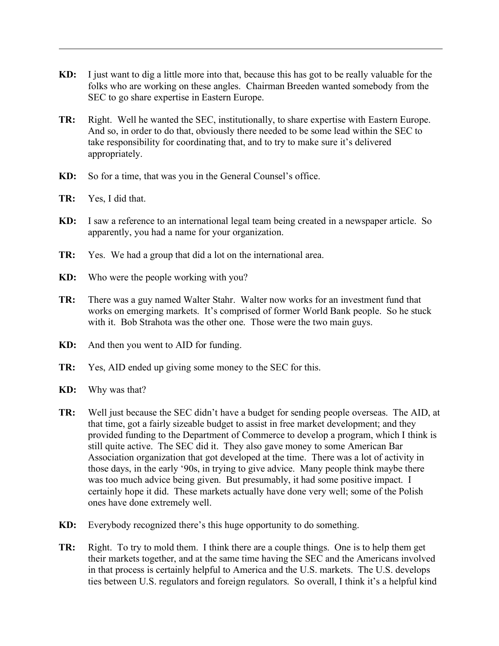- **KD:** I just want to dig a little more into that, because this has got to be really valuable for the folks who are working on these angles. Chairman Breeden wanted somebody from the SEC to go share expertise in Eastern Europe.
- **TR:** Right. Well he wanted the SEC, institutionally, to share expertise with Eastern Europe. And so, in order to do that, obviously there needed to be some lead within the SEC to take responsibility for coordinating that, and to try to make sure it's delivered appropriately.
- **KD:** So for a time, that was you in the General Counsel's office.
- **TR:** Yes, I did that.
- **KD:** I saw a reference to an international legal team being created in a newspaper article. So apparently, you had a name for your organization.
- **TR:** Yes. We had a group that did a lot on the international area.
- **KD:** Who were the people working with you?
- **TR:** There was a guy named Walter Stahr. Walter now works for an investment fund that works on emerging markets. It's comprised of former World Bank people. So he stuck with it. Bob Strahota was the other one. Those were the two main guys.
- **KD:** And then you went to AID for funding.
- **TR:** Yes, AID ended up giving some money to the SEC for this.
- **KD:** Why was that?
- **TR:** Well just because the SEC didn't have a budget for sending people overseas. The AID, at that time, got a fairly sizeable budget to assist in free market development; and they provided funding to the Department of Commerce to develop a program, which I think is still quite active. The SEC did it. They also gave money to some American Bar Association organization that got developed at the time. There was a lot of activity in those days, in the early '90s, in trying to give advice. Many people think maybe there was too much advice being given. But presumably, it had some positive impact. I certainly hope it did. These markets actually have done very well; some of the Polish ones have done extremely well.
- **KD:** Everybody recognized there's this huge opportunity to do something.
- **TR:** Right. To try to mold them. I think there are a couple things. One is to help them get their markets together, and at the same time having the SEC and the Americans involved in that process is certainly helpful to America and the U.S. markets. The U.S. develops ties between U.S. regulators and foreign regulators. So overall, I think it's a helpful kind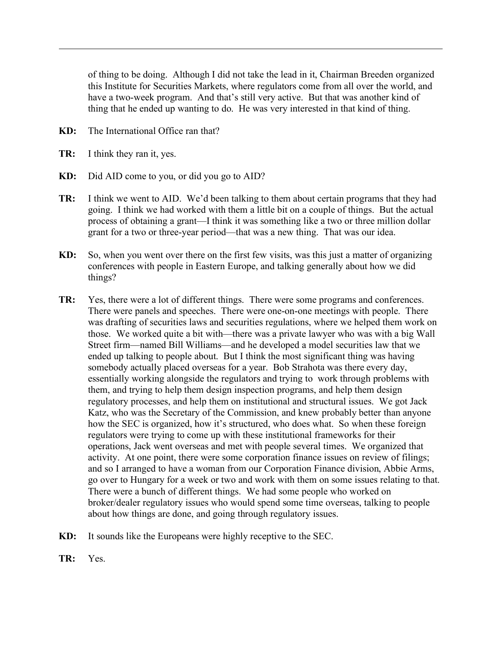of thing to be doing. Although I did not take the lead in it, Chairman Breeden organized this Institute for Securities Markets, where regulators come from all over the world, and have a two-week program. And that's still very active. But that was another kind of thing that he ended up wanting to do. He was very interested in that kind of thing.

- **KD:** The International Office ran that?
- **TR:** I think they ran it, yes.
- **KD:** Did AID come to you, or did you go to AID?
- **TR:** I think we went to AID. We'd been talking to them about certain programs that they had going. I think we had worked with them a little bit on a couple of things. But the actual process of obtaining a grant—I think it was something like a two or three million dollar grant for a two or three-year period—that was a new thing. That was our idea.
- **KD:** So, when you went over there on the first few visits, was this just a matter of organizing conferences with people in Eastern Europe, and talking generally about how we did things?
- **TR:** Yes, there were a lot of different things. There were some programs and conferences. There were panels and speeches. There were one-on-one meetings with people. There was drafting of securities laws and securities regulations, where we helped them work on those. We worked quite a bit with—there was a private lawyer who was with a big Wall Street firm—named Bill Williams—and he developed a model securities law that we ended up talking to people about. But I think the most significant thing was having somebody actually placed overseas for a year. Bob Strahota was there every day, essentially working alongside the regulators and trying to work through problems with them, and trying to help them design inspection programs, and help them design regulatory processes, and help them on institutional and structural issues. We got Jack Katz, who was the Secretary of the Commission, and knew probably better than anyone how the SEC is organized, how it's structured, who does what. So when these foreign regulators were trying to come up with these institutional frameworks for their operations, Jack went overseas and met with people several times. We organized that activity. At one point, there were some corporation finance issues on review of filings; and so I arranged to have a woman from our Corporation Finance division, Abbie Arms, go over to Hungary for a week or two and work with them on some issues relating to that. There were a bunch of different things. We had some people who worked on broker/dealer regulatory issues who would spend some time overseas, talking to people about how things are done, and going through regulatory issues.
- **KD:** It sounds like the Europeans were highly receptive to the SEC.
- **TR:** Yes.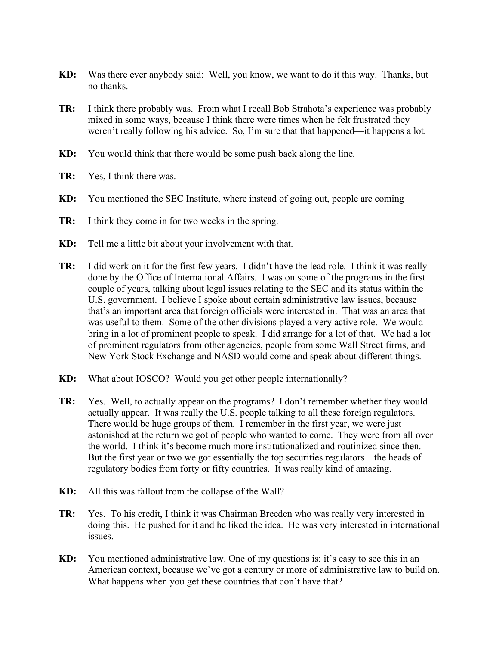- **KD:** Was there ever anybody said: Well, you know, we want to do it this way. Thanks, but no thanks.
- **TR:** I think there probably was. From what I recall Bob Strahota's experience was probably mixed in some ways, because I think there were times when he felt frustrated they weren't really following his advice. So, I'm sure that that happened—it happens a lot.
- **KD:** You would think that there would be some push back along the line.
- **TR:** Yes, I think there was.
- **KD:** You mentioned the SEC Institute, where instead of going out, people are coming—
- **TR:** I think they come in for two weeks in the spring.
- **KD:** Tell me a little bit about your involvement with that.
- **TR:** I did work on it for the first few years. I didn't have the lead role. I think it was really done by the Office of International Affairs. I was on some of the programs in the first couple of years, talking about legal issues relating to the SEC and its status within the U.S. government. I believe I spoke about certain administrative law issues, because that's an important area that foreign officials were interested in. That was an area that was useful to them. Some of the other divisions played a very active role. We would bring in a lot of prominent people to speak. I did arrange for a lot of that. We had a lot of prominent regulators from other agencies, people from some Wall Street firms, and New York Stock Exchange and NASD would come and speak about different things.
- **KD:** What about IOSCO? Would you get other people internationally?
- **TR:** Yes. Well, to actually appear on the programs? I don't remember whether they would actually appear. It was really the U.S. people talking to all these foreign regulators. There would be huge groups of them. I remember in the first year, we were just astonished at the return we got of people who wanted to come. They were from all over the world. I think it's become much more institutionalized and routinized since then. But the first year or two we got essentially the top securities regulators—the heads of regulatory bodies from forty or fifty countries. It was really kind of amazing.
- **KD:** All this was fallout from the collapse of the Wall?
- **TR:** Yes. To his credit, I think it was Chairman Breeden who was really very interested in doing this. He pushed for it and he liked the idea. He was very interested in international issues.
- **KD:** You mentioned administrative law. One of my questions is: it's easy to see this in an American context, because we've got a century or more of administrative law to build on. What happens when you get these countries that don't have that?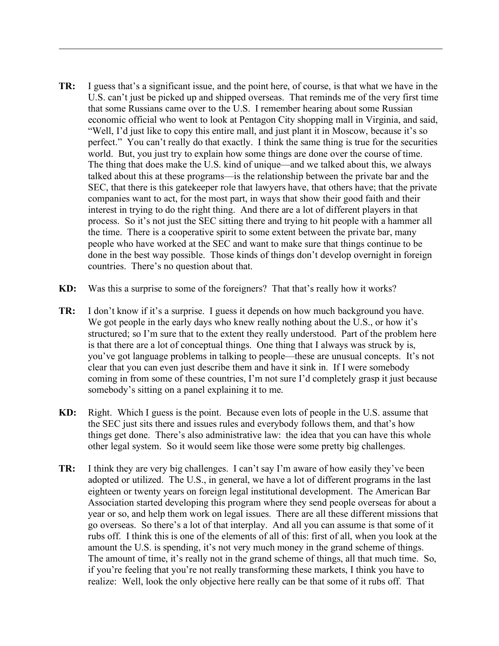- **TR:** I guess that's a significant issue, and the point here, of course, is that what we have in the U.S. can't just be picked up and shipped overseas. That reminds me of the very first time that some Russians came over to the U.S. I remember hearing about some Russian economic official who went to look at Pentagon City shopping mall in Virginia, and said, "Well, I'd just like to copy this entire mall, and just plant it in Moscow, because it's so perfect." You can't really do that exactly. I think the same thing is true for the securities world. But, you just try to explain how some things are done over the course of time. The thing that does make the U.S. kind of unique—and we talked about this, we always talked about this at these programs—is the relationship between the private bar and the SEC, that there is this gatekeeper role that lawyers have, that others have; that the private companies want to act, for the most part, in ways that show their good faith and their interest in trying to do the right thing. And there are a lot of different players in that process. So it's not just the SEC sitting there and trying to hit people with a hammer all the time. There is a cooperative spirit to some extent between the private bar, many people who have worked at the SEC and want to make sure that things continue to be done in the best way possible. Those kinds of things don't develop overnight in foreign countries. There's no question about that.
- **KD:** Was this a surprise to some of the foreigners? That that's really how it works?
- **TR:** I don't know if it's a surprise. I guess it depends on how much background you have. We got people in the early days who knew really nothing about the U.S., or how it's structured; so I'm sure that to the extent they really understood. Part of the problem here is that there are a lot of conceptual things. One thing that I always was struck by is, you've got language problems in talking to people—these are unusual concepts. It's not clear that you can even just describe them and have it sink in. If I were somebody coming in from some of these countries, I'm not sure I'd completely grasp it just because somebody's sitting on a panel explaining it to me.
- **KD:** Right. Which I guess is the point. Because even lots of people in the U.S. assume that the SEC just sits there and issues rules and everybody follows them, and that's how things get done. There's also administrative law: the idea that you can have this whole other legal system. So it would seem like those were some pretty big challenges.
- **TR:** I think they are very big challenges. I can't say I'm aware of how easily they've been adopted or utilized. The U.S., in general, we have a lot of different programs in the last eighteen or twenty years on foreign legal institutional development. The American Bar Association started developing this program where they send people overseas for about a year or so, and help them work on legal issues. There are all these different missions that go overseas. So there's a lot of that interplay. And all you can assume is that some of it rubs off. I think this is one of the elements of all of this: first of all, when you look at the amount the U.S. is spending, it's not very much money in the grand scheme of things. The amount of time, it's really not in the grand scheme of things, all that much time. So, if you're feeling that you're not really transforming these markets, I think you have to realize: Well, look the only objective here really can be that some of it rubs off. That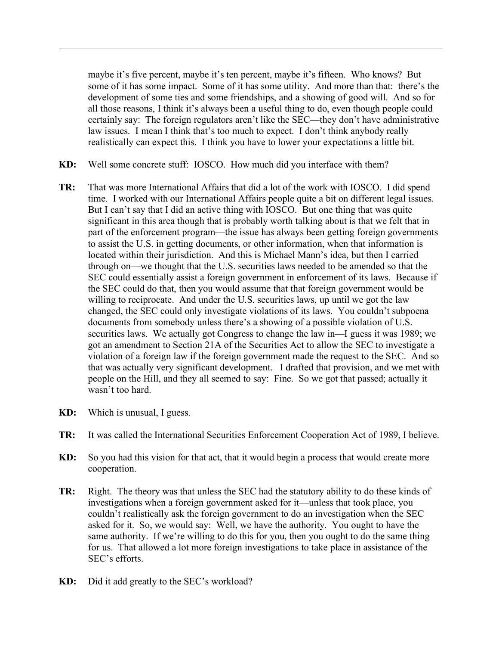maybe it's five percent, maybe it's ten percent, maybe it's fifteen. Who knows? But some of it has some impact. Some of it has some utility. And more than that: there's the development of some ties and some friendships, and a showing of good will. And so for all those reasons, I think it's always been a useful thing to do, even though people could certainly say: The foreign regulators aren't like the SEC—they don't have administrative law issues. I mean I think that's too much to expect. I don't think anybody really realistically can expect this. I think you have to lower your expectations a little bit.

- **KD:** Well some concrete stuff: IOSCO. How much did you interface with them?
- **TR:** That was more International Affairs that did a lot of the work with IOSCO. I did spend time. I worked with our International Affairs people quite a bit on different legal issues. But I can't say that I did an active thing with IOSCO. But one thing that was quite significant in this area though that is probably worth talking about is that we felt that in part of the enforcement program—the issue has always been getting foreign governments to assist the U.S. in getting documents, or other information, when that information is located within their jurisdiction. And this is Michael Mann's idea, but then I carried through on—we thought that the U.S. securities laws needed to be amended so that the SEC could essentially assist a foreign government in enforcement of its laws. Because if the SEC could do that, then you would assume that that foreign government would be willing to reciprocate. And under the U.S. securities laws, up until we got the law changed, the SEC could only investigate violations of its laws. You couldn't subpoena documents from somebody unless there's a showing of a possible violation of U.S. securities laws. We actually got Congress to change the law in—I guess it was 1989; we got an amendment to Section 21A of the Securities Act to allow the SEC to investigate a violation of a foreign law if the foreign government made the request to the SEC. And so that was actually very significant development. I drafted that provision, and we met with people on the Hill, and they all seemed to say: Fine. So we got that passed; actually it wasn't too hard.
- **KD:** Which is unusual, I guess.
- **TR:** It was called the International Securities Enforcement Cooperation Act of 1989, I believe.
- **KD:** So you had this vision for that act, that it would begin a process that would create more cooperation.
- **TR:** Right. The theory was that unless the SEC had the statutory ability to do these kinds of investigations when a foreign government asked for it—unless that took place, you couldn't realistically ask the foreign government to do an investigation when the SEC asked for it. So, we would say: Well, we have the authority. You ought to have the same authority. If we're willing to do this for you, then you ought to do the same thing for us. That allowed a lot more foreign investigations to take place in assistance of the SEC's efforts.
- **KD:** Did it add greatly to the SEC's workload?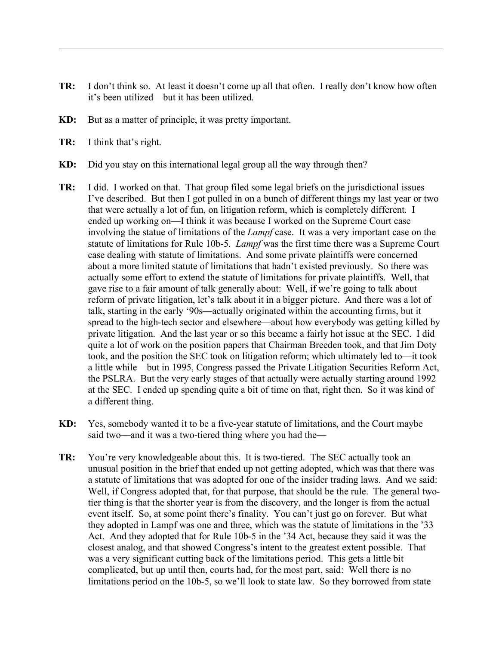- **TR:** I don't think so. At least it doesn't come up all that often. I really don't know how often it's been utilized—but it has been utilized.
- **KD:** But as a matter of principle, it was pretty important.
- **TR:** I think that's right.
- **KD:** Did you stay on this international legal group all the way through then?
- **TR:** I did. I worked on that. That group filed some legal briefs on the jurisdictional issues I've described. But then I got pulled in on a bunch of different things my last year or two that were actually a lot of fun, on litigation reform, which is completely different. I ended up working on—I think it was because I worked on the Supreme Court case involving the statue of limitations of the *Lampf* case. It was a very important case on the statute of limitations for Rule 10b-5. *Lampf* was the first time there was a Supreme Court case dealing with statute of limitations. And some private plaintiffs were concerned about a more limited statute of limitations that hadn't existed previously. So there was actually some effort to extend the statute of limitations for private plaintiffs. Well, that gave rise to a fair amount of talk generally about: Well, if we're going to talk about reform of private litigation, let's talk about it in a bigger picture. And there was a lot of talk, starting in the early '90s—actually originated within the accounting firms, but it spread to the high-tech sector and elsewhere—about how everybody was getting killed by private litigation. And the last year or so this became a fairly hot issue at the SEC. I did quite a lot of work on the position papers that Chairman Breeden took, and that Jim Doty took, and the position the SEC took on litigation reform; which ultimately led to—it took a little while—but in 1995, Congress passed the Private Litigation Securities Reform Act, the PSLRA. But the very early stages of that actually were actually starting around 1992 at the SEC. I ended up spending quite a bit of time on that, right then. So it was kind of a different thing.
- **KD:** Yes, somebody wanted it to be a five-year statute of limitations, and the Court maybe said two—and it was a two-tiered thing where you had the—
- **TR:** You're very knowledgeable about this. It is two-tiered. The SEC actually took an unusual position in the brief that ended up not getting adopted, which was that there was a statute of limitations that was adopted for one of the insider trading laws. And we said: Well, if Congress adopted that, for that purpose, that should be the rule. The general twotier thing is that the shorter year is from the discovery, and the longer is from the actual event itself. So, at some point there's finality. You can't just go on forever. But what they adopted in Lampf was one and three, which was the statute of limitations in the '33 Act. And they adopted that for Rule 10b-5 in the '34 Act, because they said it was the closest analog, and that showed Congress's intent to the greatest extent possible. That was a very significant cutting back of the limitations period. This gets a little bit complicated, but up until then, courts had, for the most part, said: Well there is no limitations period on the 10b-5, so we'll look to state law. So they borrowed from state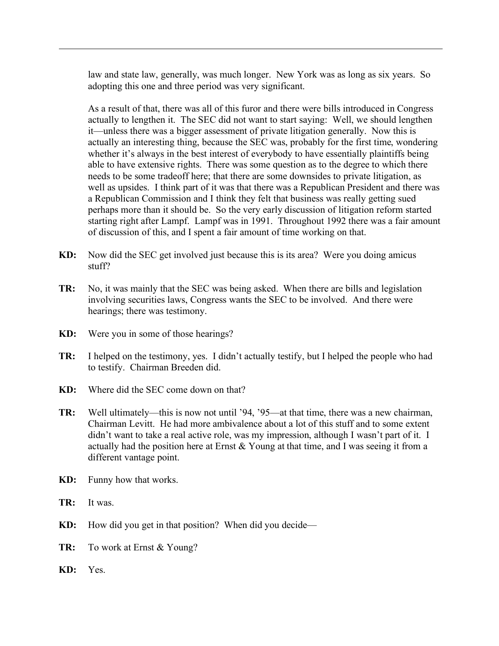law and state law, generally, was much longer. New York was as long as six years. So adopting this one and three period was very significant.

As a result of that, there was all of this furor and there were bills introduced in Congress actually to lengthen it. The SEC did not want to start saying: Well, we should lengthen it—unless there was a bigger assessment of private litigation generally. Now this is actually an interesting thing, because the SEC was, probably for the first time, wondering whether it's always in the best interest of everybody to have essentially plaintiffs being able to have extensive rights. There was some question as to the degree to which there needs to be some tradeoff here; that there are some downsides to private litigation, as well as upsides. I think part of it was that there was a Republican President and there was a Republican Commission and I think they felt that business was really getting sued perhaps more than it should be. So the very early discussion of litigation reform started starting right after Lampf. Lampf was in 1991. Throughout 1992 there was a fair amount of discussion of this, and I spent a fair amount of time working on that.

- **KD:** Now did the SEC get involved just because this is its area? Were you doing amicus stuff?
- **TR:** No, it was mainly that the SEC was being asked. When there are bills and legislation involving securities laws, Congress wants the SEC to be involved. And there were hearings; there was testimony.
- **KD:** Were you in some of those hearings?
- **TR:** I helped on the testimony, yes. I didn't actually testify, but I helped the people who had to testify. Chairman Breeden did.
- **KD:** Where did the SEC come down on that?
- **TR:** Well ultimately—this is now not until '94, '95—at that time, there was a new chairman, Chairman Levitt. He had more ambivalence about a lot of this stuff and to some extent didn't want to take a real active role, was my impression, although I wasn't part of it. I actually had the position here at Ernst & Young at that time, and I was seeing it from a different vantage point.
- **KD:** Funny how that works.
- **TR:** It was.
- **KD:** How did you get in that position? When did you decide—
- **TR:** To work at Ernst & Young?
- **KD:** Yes.